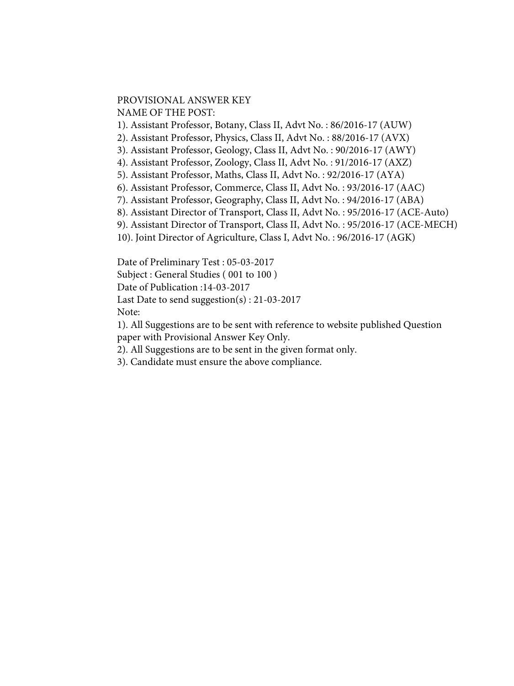## PROVISIONAL ANSWER KEY NAME OF THE POST:

1). Assistant Professor, Botany, Class II, Advt No. : 86/2016-17 (AUW)

2). Assistant Professor, Physics, Class II, Advt No. : 88/2016-17 (AVX)

3). Assistant Professor, Geology, Class II, Advt No. : 90/2016-17 (AWY)

4). Assistant Professor, Zoology, Class II, Advt No. : 91/2016-17 (AXZ)

5). Assistant Professor, Maths, Class II, Advt No. : 92/2016-17 (AYA)

6). Assistant Professor, Commerce, Class II, Advt No. : 93/2016-17 (AAC)

7). Assistant Professor, Geography, Class II, Advt No. : 94/2016-17 (ABA)

8). Assistant Director of Transport, Class II, Advt No. : 95/2016-17 (ACE-Auto)

9). Assistant Director of Transport, Class II, Advt No. : 95/2016-17 (ACE-MECH)

10). Joint Director of Agriculture, Class I, Advt No. : 96/2016-17 (AGK)

Date of Preliminary Test : 05-03-2017

Subject : General Studies ( 001 to 100 )

Date of Publication :14-03-2017

Last Date to send suggestion(s) : 21-03-2017

Note:

1). All Suggestions are to be sent with reference to website published Question paper with Provisional Answer Key Only.

2). All Suggestions are to be sent in the given format only.

3). Candidate must ensure the above compliance.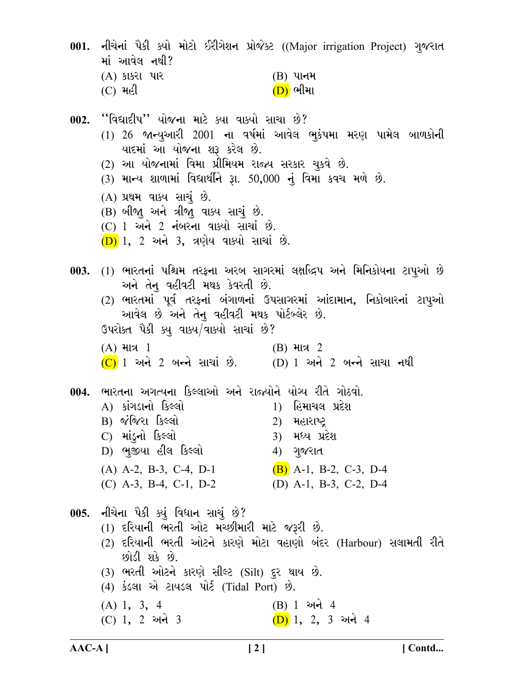| માં આવેલ નથી?<br>(A) કાકરા પાર                                                                                                                                                                                                                                                                                                                                                           | 001. નીચેનાં પૈકી ક્યો મોટો ઈરીગેશન પ્રોજેક્ટ ((Major irrigation Project) ગુજરાત<br>$(B)$ પાનમ                                                                       |
|------------------------------------------------------------------------------------------------------------------------------------------------------------------------------------------------------------------------------------------------------------------------------------------------------------------------------------------------------------------------------------------|----------------------------------------------------------------------------------------------------------------------------------------------------------------------|
| $(C)$ મહી<br>002. ''વિદ્યાદીપ'' યોજના માટે ક્યા વાક્યો સાચા છે?<br><u>યાદમાં આ યોજના શરૂ કરેલ છે.</u><br>(2) આ યોજનામાં વિમા પ્રીમિયમ રાજ્ય સરકાર ચુકવે છે.<br>(3) માન્ય શાળામાં વિદ્યાર્થીને રૂા. 50,000 નું વિમા કવચ મળે છે.<br>(A) પ્રથમ વાક્ય સાચું છે.<br>(B) બીજા અને ત્રીજા વાક્ય સાચું છે.<br>$(C)$ 1 અને 2 નંબરના વાક્યો સાચાં છે.<br>$(D)$ 1, 2 અને 3, ત્રણેય વાક્યો સાચાં છે. | <u>(D)</u> ભીમા<br>(1) 26 જાન્યુઆરી 2001 ના વર્ષમાં આવેલ ભુકંપમા મરણ પામેલ બાળકોની                                                                                   |
| અને તેનુ વહીવટી મથક કેવરતી છે.<br>આવેલ છે અને તેનુ વહીવટી મથક પોર્ટબ્લેર છે.<br>ઉપરોક્ત પૈકી ક્યુ વાક્ય/વાક્યો સાચાં છે?<br>$(A)$ માત્ર 1<br>$(C)$ 1 અને 2 બન્ને સાચાં છે. $(D)$ 1 અને 2 બન્ને સાચા નથી                                                                                                                                                                                  | 003. (1) ભારતનાં પશ્ચિમ તરફના અરબ સાગરમાં લક્ષદ્ધિપ અને મિનિકોયના ટાપુઓ છે<br>(2) ભારતમાં પૂર્વ તરફનાં બંગાળનાં ઉપસાગરમાં આંદામાન, નિકોબારનાં ટાપુઓ<br>$(B)$ માત્ર 2 |
| 004.  ભારતના અગત્યના કિલ્લાઓ અને રાજ્યોને યોગ્ય રીતે ગોઠવો.<br>A) કાંગડાનો કિલ્લો<br>B) જંજિરા કિલ્લો<br>C) માંડુનો કિલ્લો<br>D) ભુજીયા હીલ કિલ્લો<br>$(A)$ A-2, B-3, C-4, D-1<br>$(C)$ A-3, B-4, C-1, D-2                                                                                                                                                                               | 1) હિમાચલ પ્રદેશ<br>2) મહારાષ્ટ્ર<br>3) મધ્ય પ્રદેશ<br>4) ગુજરાત<br>$(B)$ A-1, B-2, C-3, D-4<br>(D) A-1, B-3, C-2, D-4                                               |
| 005. નીચેના પૈકી ક્યું વિધાન સાચું છે?<br>(1) દરિયાની ભરતી ઓટ મચ્છીમારી માટે જરૂરી છે.<br>છોડી શકે છે.<br>(3) ભરતી ઓટને કારણે સીલ્ટ (Silt) દુર થાય છે.<br>(4) કંડલા એ ટાયડલ પોર્ટ (Tidal Port) છે.<br>$(A)$ 1, 3, 4<br>(C) 1, 2 અને 3                                                                                                                                                    | (2) દરિયાની ભરતી ઓટને કારણે મોટા વહાણો બંદર (Harbour) સલામતી રીતે<br>(B) 1 અને 4<br>(D) 1, 2, 3 અને 4                                                                |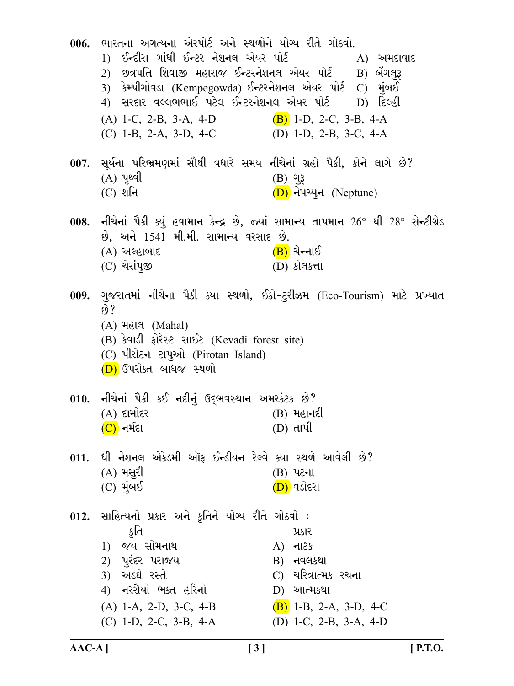| 006. | ભારતના અગત્યના એરપોર્ટ અને સ્થળોને યોગ્ય રીતે ગોઠવો.<br>1) ઈન્દીરા ગાંધી ઈન્ટર નેશનલ એયર પોર્ટ<br>2) છત્રપતિ શિવાજી મહારાજ ઈન્ટરનેશનલ એયર પોર્ટ   B) બેંગલુરૂ<br>3) કેમ્પીગોવડા (Kempegowda) ઈન્ટરનેશનલ એયર પોર્ટ C) મુંબઈ<br>4) સરદાર વલ્લભભાઈ પટેલ ઈન્ટરનેશનલ એયર પોર્ટ D) દિલ્હી<br>$(A)$ 1-C, 2-B, 3-A, 4-D<br>$(C)$ 1-B, 2-A, 3-D, 4-C | $A)$ અમદાવાદ<br>$(B)$ 1-D, 2-C, 3-B, 4-A<br>(D) 1-D, 2-B, 3-C, 4-A                                                                              |
|------|---------------------------------------------------------------------------------------------------------------------------------------------------------------------------------------------------------------------------------------------------------------------------------------------------------------------------------------------|-------------------------------------------------------------------------------------------------------------------------------------------------|
|      | 007. સૂર્યના પરિભ્રમણમાં સૌથી વધારે સમય નીચેનાં ગ્રહો પૈકી, કોને લાગે છે?<br>$(A)$ yedl<br>$(C)$ શનિ                                                                                                                                                                                                                                        | $(B)$ $93$<br>(D) નેપચ્યુન (Neptune)                                                                                                            |
|      | છે, અને 1541 મી.મી. સામાન્ય વરસાદ છે.<br>$(A)$ અલ્હાબાદ<br>$(C)$ ચેરાંપૂજી                                                                                                                                                                                                                                                                  | 008.  નીચેનાં પૈકી ક્યું હવામાન કેન્દ્ર છે, જ્યાં સામાન્ય તાપમાન 26° થી 28° સેન્ટીગ્રેડ<br><u>(B)</u> ચેન્નાઈ<br>(D) કોલકત્તા                   |
|      | છે?<br>(A) <b>મહાલ</b> (Mahal)<br>(B) કેવાડી ફોરેસ્ટ સાઈટ (Kevadi forest site)<br>(C) પીરોટન ટાપુઓ (Pirotan Island)<br>(D) ઉપરોક્ત બાધજ સ્થળો                                                                                                                                                                                               | 009. ગુજરાતમાં નીચેના પૈકી ક્યા સ્થળો, ઈકો-ટુરીઝમ (Eco-Tourism) માટે પ્રખ્યાત                                                                   |
|      | 010. નીચેનાં પૈકી કઈ નદીનું ઉદ્દભવસ્થાન અમરકંટક છે?<br>$(A)$ દામોદર<br>(C) નર્મદા                                                                                                                                                                                                                                                           | (B) મહાનદી<br>(D) તાપી                                                                                                                          |
|      | 011.  ધી નેશનલ એકેડમી ઑફ ઈન્ડીયન રેલ્વે ક્યા સ્થળે આવેલી છે?<br>$(A)$ મસુરી<br>$(C)$ મુંબઈ                                                                                                                                                                                                                                                  | (B) પટના<br>( <mark>D)</mark> વડોદરા                                                                                                            |
|      | 012. સાહિત્યનો પ્રકાર અને કૃતિને યોગ્ય રીતે ગોઠવો :<br>કૃતિ<br>જય સોમનાથ<br>1)<br>2) પુરંદર પરાજય<br>3) અડઘે રસ્તે<br>4) નરસૈયો ભક્ત હરિનો<br>$(A)$ 1-A, 2-D, 3-C, 4-B<br>$(C)$ 1-D, 2-C, 3-B, 4-A                                                                                                                                          | પ્રકાર<br>$A)$ $\n  -125$<br>$\mathbf{B}$ ) નવલકથા<br>C) ચરિત્રાત્મક રચના<br>$D)$ આત્મકથા<br>$(B)$ 1-B, 2-A, 3-D, 4-C<br>(D) 1-C, 2-B, 3-A, 4-D |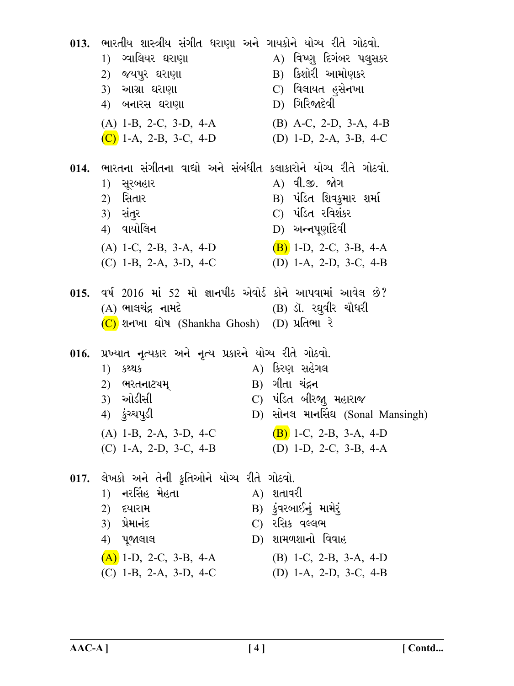| 013.  ભારતીય શાસ્ત્રીય સંગીત ધરાણા અને ગાયકોને યોગ્ય રીતે ગોઠવો.<br>1) ગ્વાલિયર ઘરાણા<br>2) જયપુર ઘરાણા<br>3) આગ્રા ઘરાણા<br>4) બનારસ ઘરાણા                                            | A) વિષ્ણુ દિગંબર પલુસકર<br>B) કિશોરી આમોણકર<br>C) વિલાયત હુસે <b>ન</b> ખા<br>$D)$ ગિરિજાદેવી                                                       |
|----------------------------------------------------------------------------------------------------------------------------------------------------------------------------------------|----------------------------------------------------------------------------------------------------------------------------------------------------|
| $(A)$ 1-B, 2-C, 3-D, 4-A<br>(C) 1-A, 2-B, 3-C, 4-D                                                                                                                                     | $(B)$ A-C, 2-D, 3-A, 4-B<br>(D) 1-D, 2-A, 3-B, 4-C                                                                                                 |
| 014. ભારતના સંગીતના વાદ્યો અને સંબંધીત કલાકારોને યોગ્ય રીતે ગોઠવો.<br>1) સૂરબહાર<br>2) સિતાર<br>3) સંતુર<br>4) વાયોલિન<br>$(A)$ 1-C, 2-B, 3-A, 4-D<br>$(C)$ 1-B, 2-A, 3-D, 4-C         | A) વી.જી. જોગ<br>B) પંડિત શિવકુમાર શર્મા<br>C) પંડિત રવિશંકર<br>$D)$ અન્નપૂર્ણાદેવી<br>$(B)$ 1-D, 2-C, 3-B, 4-A<br>(D) 1-A, 2-D, 3-C, 4-B          |
| 015. વર્ષ 2016 માં 52 મો જ્ઞાનપીઠ એવોર્ડ કોને આપવામાં આવેલ છે?<br>(A) ભાલચંદ્ર નામદે                       (B) ડૉ. રઘુવીર ચૌધરી<br>(C) શનખા ઘોષ (Shankha Ghosh) (D) પ્રતિભા રે         |                                                                                                                                                    |
| 016. પ્રખ્યાત નૃત્યકાર અને નૃત્ય પ્રકારને યોગ્ય રીતે ગોઠવો.<br>1) ક <b>શ્થ</b> ક<br>2) ભરતનાટ્યમ્<br>3) ઓડીસી<br>4) ડુંચ્ચપુડી<br>$(A)$ 1-B, 2-A, 3-D, 4-C<br>$(C)$ 1-A, 2-D, 3-C, 4-B | A) કિરણ સહેગલ<br>B) ગીતા ચંદ્રન<br>C) પંડિત બીરજા મહારાજ<br>D) સોનલ માનસિંઘ (Sonal Mansingh)<br>$(B)$ 1-C, 2-B, 3-A, 4-D<br>(D) 1-D, 2-C, 3-B, 4-A |
| 017. લેખકો અને તેની કૃતિઓને યોગ્ય રીતે ગોઠવો.<br>1) નરસિંહ મેહતા<br>2) દયારામ<br>3) પ્રેમા <b>નં</b> દ<br>4) પૂજાલાલ<br>$(A)$ 1-D, 2-C, 3-B, 4-A<br>$(C)$ 1-B, 2-A, 3-D, 4-C           | $A)$ શતાવરી<br>B) કુંવરબાઈનું મામેરું<br>C) રસિક વલ્લભ<br>D) શામળશાનો વિવાહ<br>$(B)$ 1-C, 2-B, 3-A, 4-D<br>(D) 1-A, 2-D, 3-C, 4-B                  |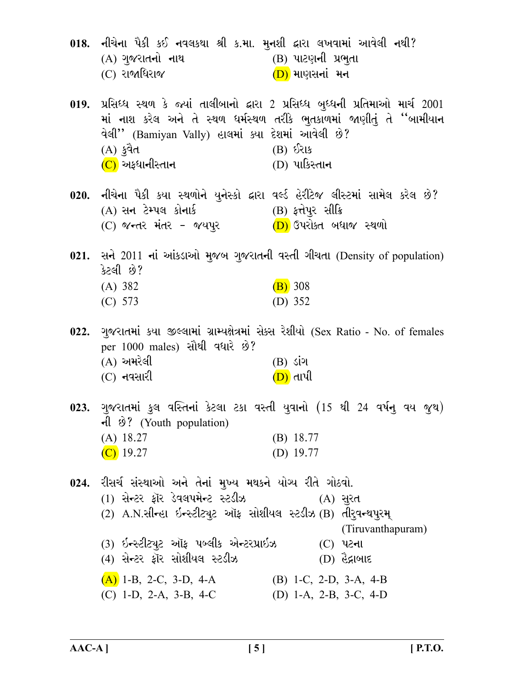| 018. નીચેના પૈકી કઈ નવલકથા શ્રી ક.મા. મુનશી દ્વારા લખવામાં આવેલી નથી?<br>(A) ગુજરાતનો નાથ<br>(C) રાજાધિરાજ                                                                                                                                 | (B) પાટણની પ્રભુતા<br>(D) માણસનાં મન                                                                                                                                                                |
|--------------------------------------------------------------------------------------------------------------------------------------------------------------------------------------------------------------------------------------------|-----------------------------------------------------------------------------------------------------------------------------------------------------------------------------------------------------|
| વેલી'' (Bamiyan Vally) હાલમાં ક્યા દેશમાં આવેલી છે?<br>(A) કુવૈત<br>( <mark>C)</mark> અફધાનીસ્તાન                                                                                                                                          | 019. પ્રસિધ્ધ સ્થળ કે જ્યાં તાલીબાનો દ્વારા 2 પ્રસિધ્ધ બુધ્ધની પ્રતિમાઓ માર્ચ 2001<br>માં નાશ કરેલ અને તે સ્થળ ધર્મસ્થળ તરીકે ભુતકાળમાં જાણીતું તે ''બામીયાન<br>$(B)$ $\delta$ રાક<br>(D) પાકિસ્તાન |
| 020. નીચેના પૈકી કયા સ્થળોને યુનેસ્કો દ્વારા વર્લ્ડ હેરીટેજ લીસ્ટમાં સામેલ કરેલ છે?<br>(A) સન ટેમ્પલ કોનાર્ક                                                                                                                               | (B) ફત્તેપુર સીક્રિ                                                                                                                                                                                 |
| કેટલી છે?<br>(A) 382<br>(C) 573                                                                                                                                                                                                            | 021. સને 2011 નાં આંકડાઓ મુજબ ગુજરાતની વસ્તી ગીચતા (Density of population)<br>$(B)$ 308<br>(D) $352$                                                                                                |
| per 1000 males) સૌથી વધારે છે?<br>$(A)$ અમરેલી<br>$(C)$ નવસારી                                                                                                                                                                             | 022. ગુજરાતમાં કયા જીલ્લામાં ગ્રામ્યક્ષેત્રમાં સેક્સ રેશીયો (Sex Ratio - No. of females<br>$(B)$ ડાંગ<br>(D) તાપી                                                                                   |
| नी छे? (Youth population)<br>$(A)$ 18.27<br>$(C)$ 19.27                                                                                                                                                                                    | 023. ગુજરાતમાં કુલ વસ્તિનાં કેટલા ટકા વસ્તી યુવાનો (15 થી 24 વર્ષનુ વય જુથ)<br>$(B)$ 18.77<br>(D) $19.77$                                                                                           |
| 024. રીસર્ચ સંસ્થાઓ અને તેનાં મુખ્ય મથકને યોગ્ય રીતે ગોઠવો.<br>(1) સેન્ટર ફૉર ડેવલપમેન્ટ સ્ટડીઝ<br>(2) A.N.સીન્હા ઇન્સ્ટીટ્યુટ ઑફ સોશીયલ સ્ટડીઝ(B) તીરુવન્થપુરમ્<br>(3) ઇન્સ્ટીટ્યુટ ઑફ પબ્લીક એન્ટરપ્રાઇઝ<br>(4) સેન્ટર ફૉર સોશીયલ સ્ટડીઝ | (A) સુરત<br>(Tiruvanthapuram)<br>$(C)$ પટના<br>$(D)$ હૈદ્રાબાદ                                                                                                                                      |
| $(A)$ 1-B, 2-C, 3-D, 4-A<br>(C) 1-D, 2-A, 3-B, 4-C                                                                                                                                                                                         | $(B)$ 1-C, 2-D, 3-A, 4-B<br>(D) 1-A, 2-B, 3-C, 4-D                                                                                                                                                  |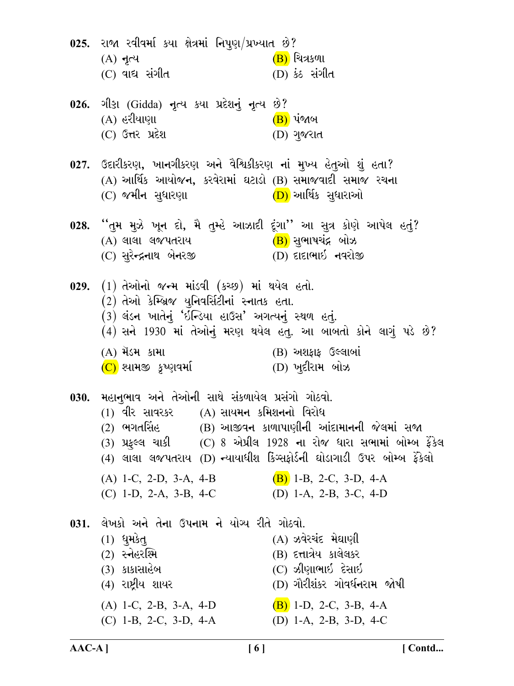025. રાજા રવીવર્મા કયા ક્ષેત્રમાં નિપુણ/પ્રખ્યાત છે?  $(B)$  ચિત્રકળા  $(A)$  નૃત્ય  $(C)$  વાદ્ય સંગીત (D) કેઠ સંગીત ગીડા (Gidda) નૃત્ય કયા પ્રદેશનું નૃત્ય છે?  $026.$ (A) હરીયાણા <u>(B)</u> પંજાબ (C) ઉત્તર પ્રદેશ (D) ગુજરાત 027. ઉદારીકરણ, ખાનગીકરણ અને વૈશ્વિકીકરણ નાં મુખ્ય હેતુઓ શું હતા? (A) આર્થિક આયોજન, કરવેરામાં ઘટાડો (B) સમાજવાદી સમાજ રચના (D) આર્થિક સુધારાઓ (C) જમીન સુધારણા ''તમ મૂઝે ખૂન દો, મૈ તુમ્હે આઝાદી દુંગા'' આ સૂત્ર કોણે આપેલ હતું?  $028.$ (<mark>B)</mark> સુભાષચંદ્ર બોઝ (A) લાલા લજપતરાય (C) સુરેન્દ્રનાથ બેનરજી (D) દાદાભાઇ નવરોજી 029. (1) તેઓનો જન્મ માંડવી (કચ્છ) માં થયેલ હતો.  $(2)$  તેઓ કેમ્બ્રિજ યુનિવર્સિટીનાં સ્નાતક હતા. (3) લંડન ખાતેનું 'ઇન્ડિયા હાઉસ' અગત્યનું સ્થળ હતું.  $(4)$  સને 1930 માં તેઓનું મરણ થયેલ હતુ. આ બાબતો કોને લાગું પડે છે?  $(B)$  અશફાફ ઉલ્લાબાં (A) મૅડમ કામા (C) શ્યામજી *કૃષ્*ણવર્મા (D) ખુદીરામ બોઝ મહાનભાવ અને તેઓની સાથે સંકળાયેલ પ્રસંગો ગોઠવો. 030.  $(1)$  વીર સાવરકર  $(1)$  સાયમન કમિશનનો વિરોધ  $\overline{2}$  ભગતસિંહ (B) આજીવન કાળાપાણીની આંદામાનની જેલમાં સજા (3) પ્રફુલ્લ ચાકી (C) 8 એપ્રીલ 1928 ના રોજ ધારા સભામાં બોમ્બ ફેંકેલ (4) લાલા લજપતરાય (D) <del>ન્</del>યાયાધીશ કિગ્સફોર્ડની ઘોડાગાડી ઉપર બોમ્બ ફેંકેલો (A) 1-C, 2-D, 3-A, 4-B (B) 1-B, 2-C, 3-D, 4-A  $(C)$  1-D, 2-A, 3-B, 4-C (D) 1-A, 2-B, 3-C, 4-D 031. લેખકો અને તેના ઉપનામ ને યોગ્ય રીતે ગોઠવો.  $(1)$  धुम $3d$ (A) ઝવેરચંદ મેઘાણી  $(2)$  સ્નેહરશ્મિ (B) દત્તાત્રેય કાલેલકર  $(C)$  ઝીણાભાઈ દેસાઈ (3) કાકાસાહેબ (4) રાષ્ટ્રીય શાયર (D) ગૌરીશંકર ગોવર્ધનરામ જોષી  $(A)$  1-C, 2-B, 3-A, 4-D  $(B)$  1-D, 2-C, 3-B, 4-A (D) 1-A, 2-B, 3-D, 4-C  $(C)$  1-B, 2-C, 3-D, 4-A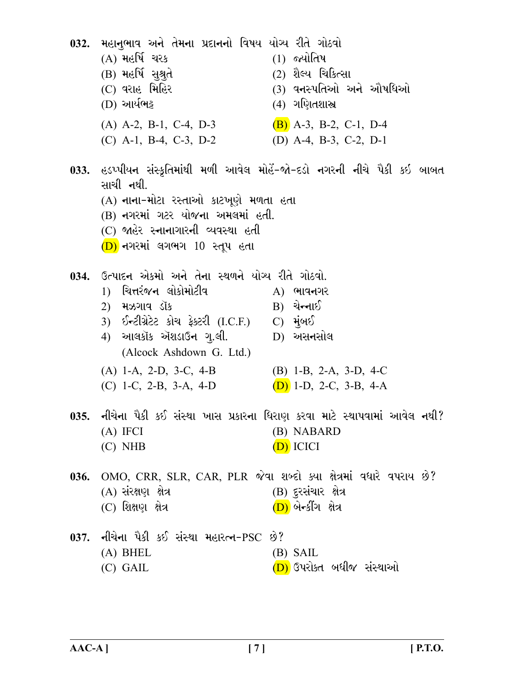|      | 032. મહાનુભાવ અને તેમના પ્રદાનનો વિષય યોગ્ય રીતે ગોઠવો<br>(A) મહર્ષિ ચરક<br>(B) મહર્ષિ સુશ્રુતે<br>(C) વરાહ મિહિર<br>(D) આર્યભટ્ટ                                                                                                  | $(1)$ જ્યોતિષ<br>(2) શૈલ્ય ચિકિત્સા<br>(3) વનસ્પતિઓ અને ઔષધિઓ<br>(4) ગણિતશાસ્ત્ર                                                    |
|------|------------------------------------------------------------------------------------------------------------------------------------------------------------------------------------------------------------------------------------|-------------------------------------------------------------------------------------------------------------------------------------|
|      | $(A)$ A-2, B-1, C-4, D-3<br>$(C)$ A-1, B-4, C-3, D-2                                                                                                                                                                               | $(B)$ A-3, B-2, C-1, D-4<br>(D) A-4, B-3, C-2, D-1                                                                                  |
|      | સાચી નથી.<br>(A) નાના-મોટા રસ્તાઓ કાટખૂણે મળતા હતા<br>(B) નગરમાં ગટર યોજના અમલમાં હતી.<br>(C) જાહેર સ્નાનાગારની વ્યવસ્થા હતી<br>(D) નગરમાં લગભગ 10 સ્તૂપ હતા                                                                       | 033. હડપ્પીયન સંસ્કૃતિમાંથી મળી આવેલ મોહેં-જો-દડો નગરની નીચે પૈકી કઇ બાબત                                                           |
|      | 034. ઉત્પાદન એકમો અને તેના સ્થળને યોગ્ય રીતે ગોઠવો.<br>1)  ચિત્તરંજન લોકોમોટીવ<br>2) મઝગાવ ડૉક<br>3) ઈન્ટીગ્રેટેટ કોચ ફેક્ટરી (I.C.F.)  C) મુંબઈ<br>4) આલકૉક ઍશડાઉન ગુ.લી.<br>(Alcock Ashdown G. Ltd.)<br>$(A)$ 1-A, 2-D, 3-C, 4-B | $A)$ ભાવનગર<br>$\mathbf{B}$ ) ચેન્નાઈ<br>$D)$ અસનસોલ<br>$(B)$ 1-B, 2-A, 3-D, 4-C                                                    |
|      | (C) 1-C, 2-B, 3-A, 4-D<br>$(A)$ IFCI<br>$(C)$ NHB                                                                                                                                                                                  | $(D)$ 1-D, 2-C, 3-B, 4-A<br>035. નીચેના પૈકી કઈ સંસ્થા ખાસ પ્રકારના ધિરાણ કરવા માટે સ્થાપવામાં આવેલ નથી?<br>(B) NABARD<br>(D) ICICI |
| 036. | OMO, CRR, SLR, CAR, PLR જેવા શબ્દો ક્યા ક્ષેત્રમાં વધારે વપરાય છે?<br>(A) સંરક્ષણ ક્ષેત્ર<br>$(C)$ શિક્ષણ ક્ષેત્ર                                                                                                                  | (B) દુરસંચાર <i>ક્ષેત્ર</i><br>(D) બેન્કીંગ ક્ષેત્ર                                                                                 |
|      | 037. નીચેના પૈકી કઈ સંસ્થા મહારત્ન-PSC છે?<br>$(A)$ BHEL<br>$(C)$ GAIL                                                                                                                                                             | (B) SAIL<br>(D) ઉપરોક્ત બધીજ સંસ્થાઓ                                                                                                |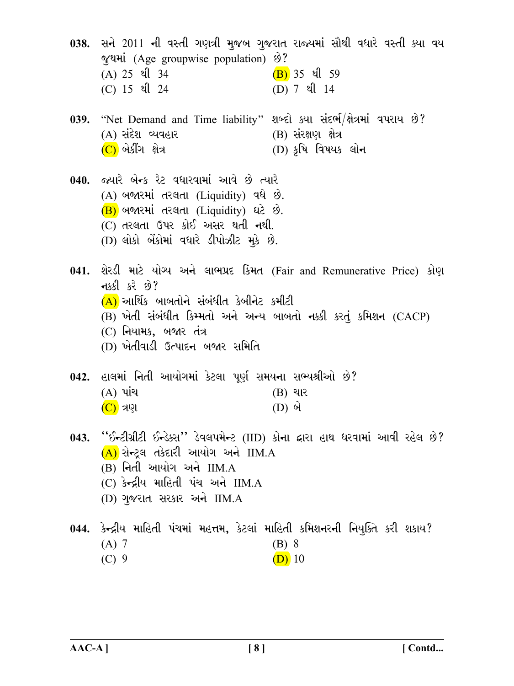038. સને 2011 ની વસ્તી ગણત્રી મુજબ ગુજરાત રાજ્યમાં સૌથી વધારે વસ્તી ક્યા વય જથમાં (Age groupwise population) છે?  $(A) 25 \text{ }$  21 34  $(B)$  35  $2($  59 (C) 15 थी 24 (D)  $7 \text{ }$  20  $14$ 

039. "Net Demand and Time liability" શબ્દો ક્યા સંદર્ભ/ક્ષેત્રમાં વપરાય છે? (A) સંદેશ વ્યવહાર (B) સંરક્ષણ ક્ષેત્ર  $(C)$  બેકીંગ ક્ષેત્ર (D) કૃષિ વિષયક લોન

040. જ્યારે બેન્ક રેટ વધારવામાં આવે છે ત્યારે (A) બજારમાં તરલતા (Liquidity) વધે છે. (B) બજારમાં તરલતા (Liquidity) ઘટે છે.  $(C)$  તરલતા ઉપર કોઈ અસર થતી નથી. (D) લોકો બેંકોમાં વધારે ડીપોઝીટ મૂકે છે.

041. શેરડી માટે યોગ્ય અને લાભપ્રદ કિંમત (Fair and Remunerative Price) કોણ નક્કી કરે છે?  $(A)$  આર્થિક બાબતોને સંબંધીત કેબીનેટ કમીટી (B) ખેતી સંબંધીત કિમ્મતો અને અન્ય બાબતો નક્કી કરતું કમિશન (CACP)  $(C)$  નિયામક, બજાર તંત્ર

(D) ખેતીવાડી ઉત્પાદન બજાર સમિતિ

042. હાલમાં નિતી આયોગમાં કેટલા પૂર્ણ સમયના સભ્યશ્રીઓ છે?  $(A)$  પાંચ  $(B)$  ચાર  $(C)$  ત્રણ  $(D)$  બે

- ''ઈન્ટીગ્રીટી ઈન્ડેક્સ'' ડેવલપમેન્ટ (IID) કોના દ્વારા હાથ ધરવામાં આવી રહેલ છે?  $043.$  $(A)$  સેન્ટલ તકેદારી આયોગ અને IIM.A  $(B)$  નિતી આયોગ અને  $IIM.A$ 
	- (C) કેન્દ્રીય માહિતી પંચ અને IIM.A
	- (D) ગુજરાત સરકાર અને IIM.A

044. કેન્દ્રીય માહિતી પંચમાં મહત્તમ, કેટલાં માહિતી કમિશનરની નિયુક્તિ કરી શકાય?  $(A)$  7  $(B)$  8  $(C)$  9  $(D)$  10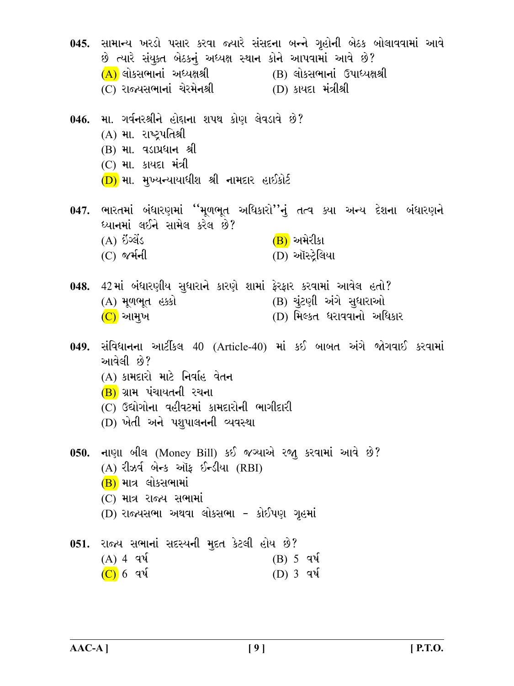045. સામાન્ય ખરડો પસાર કરવા જ્યારે સંસદના બન્ને ગૃહોની બેઠક બોલાવવામાં આવે છે ત્યારે સંયક્ત બેઠકનં અધ્યક્ષ સ્થાન કોને આપવામાં આવે છે? (A) લોકસભાનાં અધ્યક્ષશ્રી \_\_(B) લોકસભાનાં ઉપાધ્યક્ષશ્રી (C) રાજ્યસભાનાં ચેરમેનશ્રી  $(D)$  કાયદા મંત્રીશ્રી 046. મા. ગર્વનરશ્રીને હોદ્દાના શપથ કોણ લેવડાવે છે? (A) મા. રાષ્ટ્રપતિશ્રી (B) મા. વડાપ્રધાન શ્રી  $(C)$  મા. કાયદા મંત્રી  $(D)$  મા. મુખ્યન્યાયાધીશ શ્રી નામદાર હાઈકોર્ટ 047. ભારતમાં બંધારણમાં ''મૂળભૂત અધિકારો''નું તત્વ ક્યા અન્ય દેશના બંધારણને ધ્યાનમાં લઈને સામેલ કરેલ છે?  $(B)$  અમેરીકા  $(A)$  ઇંગ્લેંડ (D) ઑસ્ટ્રેલિયા  $(C)$  જર્મની 048. 42 માં બંધારણીય સુધારાને કારણે શામાં ફેરફાર કરવામાં આવેલ હતો? (A) મૂળભૂત હક્કો (B) ચૂંટણી અંગે સુધારાઓ (D) મિલ્કત ધરાવવાનો અધિકાર (C) આમુખ 049. સંવિધાનના આર્ટીકલ 40 (Article-40) માં કઈ બાબત અંગે જોગવાઈ કરવામાં આવેલી છે? (A) કામદારો માટે નિર્વાહ વેતન (B) ગ્રામ પંચાયતની રચના (C) ઉદ્યોગોના વહીવટમાં કામદારોની ભાગીદારી (D) ખેતી અને પશુપાલનની વ્યવસ્થા 050. નાણા બીલ (Money Bill) કઈ જગ્યાએ રજા કરવામાં આવે છે?  $(A)$  રીઝર્વ બેન્ક ઑક ઈન્ડીયા  $(RBI)$  $(B)$  માત્ર લોકસભામાં  $(C)$  માત્ર રાજ્ય સભામાં (D) રાજ્યસભા અથવા લોકસભા - કોઈપણ ગૃહમાં 051. રાજ્ય સભાનાં સદસ્યની મદત કેટલી હોય છે?  $(A)$  4 q $\sqrt{4}$  $(B)$  5 q $\mathcal{N}$  $(C)$  6 q $\sqrt{ }$  $(D)$  3 q $\mathcal{A}$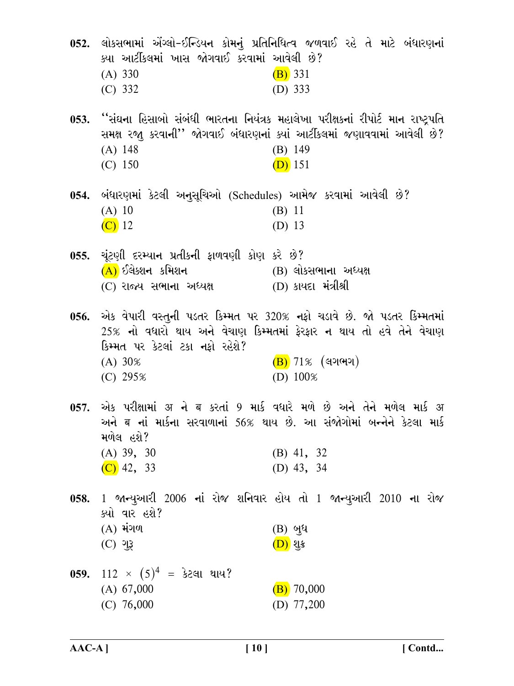| ક્યા આર્ટીકલમાં ખાસ જોગવાઈ કરવામાં આવેલી છે?<br>(A) 330<br>(C) 332                                | 052. લોકસભામાં એંગ્લો-ઈન્ડિયન કોમનું પ્રતિનિધિત્વ જળવાઈ રહે તે માટે બંધારણનાં<br>$(B)$ 331<br>(D) $333$                                                                                    |
|---------------------------------------------------------------------------------------------------|--------------------------------------------------------------------------------------------------------------------------------------------------------------------------------------------|
| $(A)$ 148<br>$(C)$ 150                                                                            | 053. ''સંઘના હિસાબો સંબંધી ભારતના નિયંત્રક મહાલેખા પરીક્ષકનાં રીપોર્ટ માન રાષ્ટ્રપતિ<br>સમક્ષ રજા કરવાની'' જોગવાઈ બંધારણનાં ક્યાં આર્ટીકલમાં જણાવવામાં આવેલી છે?<br>$(B)$ 149<br>$(D)$ 151 |
| 054. બંધારણમાં કેટલી અનુસૂચિઓ (Schedules) આમેજ કરવામાં આવેલી છે?<br>$(A)$ 10<br>$\overline{C}$ 12 | (B) 11<br>(D) 13                                                                                                                                                                           |
| 055. ચૂંટણી દરમ્યાન પ્રતીકની ફાળવણી કોણ કરે છે?<br>(A) ઈલેક્શન કમિશન<br>(C) રાજ્ય સભાના અધ્યક્ષ   | (B) લોકસભાના અધ્યક્ષ<br>_ (D) કાયદા મંત્રીશ્રી                                                                                                                                             |
| કિમ્મત પર કેટલાં ટકા નફો રહેશે?<br>(A) 30%<br>$(C)$ 295%                                          | 056. એક વેપારી વસ્તુની પડતર કિમ્મત પર 320% નફો ચડાવે છે. જો પડતર કિમ્મતમાં<br>25% નો વધારો થાય અને વેચાણ કિમ્મતમાં ફેરફાર ન થાય તો હવે તેને વેચાણ<br>$(B)$ 71% (લગભગ)<br>(D) $100\%$       |
| મળેલ હશે?<br>$(A)$ 39, 30<br>$(C)$ 42, 33                                                         | અને ब નાં માર્કના સરવાળાનાં 56% થાય છે. આ સંજોગોમાં બન્નેને કેટલા માર્ક<br>$(B)$ 41, 32<br>(D) $43, 34$                                                                                    |
| ક્યો વાર હશે?<br>$(A)$ મંગળ<br>$(C)$ ગુરૂ                                                         | 058. 1 જાન્યુઆરી 2006 નાં રોજ શનિવાર હોય તો 1 જાન્યુઆરી 2010 ના રોજ<br>$(B)$ બુધ<br><u>(D)</u> શુક્ર                                                                                       |
| 059. $112 \times (5)^4 = 32$ લા થાય?<br>(A) 67,000<br>$(C)$ 76,000                                | $(B)$ 70,000<br>(D) $77,200$                                                                                                                                                               |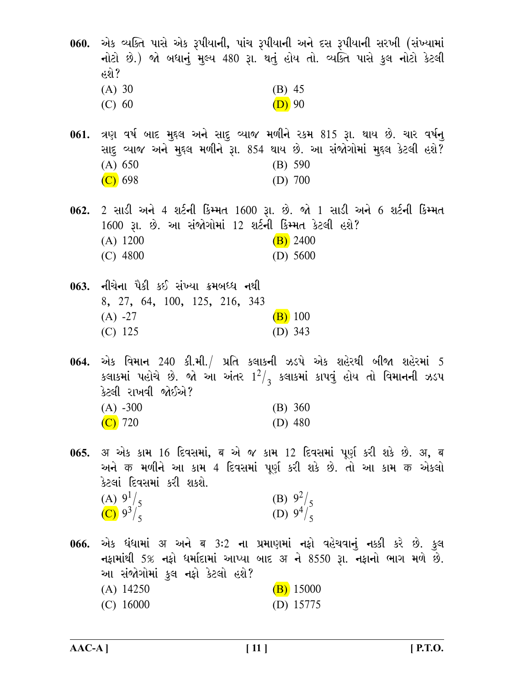060. એક વ્યક્તિ પાસે એક રૂપીયાની, પાંચ રૂપીયાની અને દસ રૂપીયાની સરખી (સંખ્યામાં નોટો છે.) જો બધાનું મુલ્ય 480 રૂા. થતું હોય તો. વ્યક્તિ પાસે કુલ નોટો કેટલી હશે?  $(A) 30$  $(B)$  45  $(D)$  90  $(C) 60$ 

061. ત્રણ વર્ષ બાદ મુદ્દલ અને સાદુ વ્યાજ મળીને રકમ 815 રૂા. થાય છે. ચાર વર્ષન્ સાદ વ્યાજ અને મુદ્દલ મળીને રૂા. 854 થાય છે. આ સંજોગોમાં મુદ્દલ કેટલી હશે?  $(B) 590$  $(A) 650$  $(C)$  698 (D)  $700$ 

062. 2 સાડી અને 4 શર્ટની કિમ્મત 1600 રૂા. છે. જો 1 સાડી અને 6 શર્ટની કિમ્મત 1600 રૂા. છે. આ સંજોગોમાં 12 શર્ટની કિમ્મત કેટલી હશે?  $(A) 1200$  $(B)$  2400  $(C)$  4800 (D)  $5600$ 

063. નીચેના પૈકી કઈ સંખ્યા ક્રમબધ્ધ નથી 8, 27, 64, 100, 125, 216, 343  $(A) -27$  $(B)$  100  $(C)$  125 (D)  $343$ 

એક વિમાન 240 કી.મી./ પ્રતિ કલાકની ઝડપે એક શહેરથી બીજા શહેરમાં 5 064. કલાકમાં પહોચે છે. જો આ અંતર  $1^2/3$  કલાકમાં કાપવું હોય તો વિમાનની ઝડપ કેટલી રાખવી જોઈએ?  $(A) -300$  $(B) 360$  $(C)$  720 (D)  $480$ 

065. अ એક કામ 16 દિવસમાં, ब એ જ કામ 12 દિવસમાં પૂર્ણ કરી શકે છે. अ, ब અને क મળીને આ કામ 4 દિવસમાં પૂર્ણ કરી શકે છે. તો આ કામ क એકલો કેટલાં દિવસમાં કરી શકશે. (B)  $9^2/5$ <br>(D)  $9^4/5$ (A)  $9^{1}/_{5}$ (C)  $9^3/\frac{2}{5}$ 

એક ધંધામાં अ અને ब 3:2 ના પ્રમાણમાં નફો વહેચવાનું નક્કી કરે છે. કુલ 066. નફામાંથી 5% નફો ધર્માદામાં આપ્યા બાદ अ ને 8550 રૂા. નફાનો ભાગ મળે છે. આ સંજોગોમાં કુલ નફો કેટલો હશે?  $(A)$  14250  $(B)$  15000  $(C)$  16000 (D)  $15775$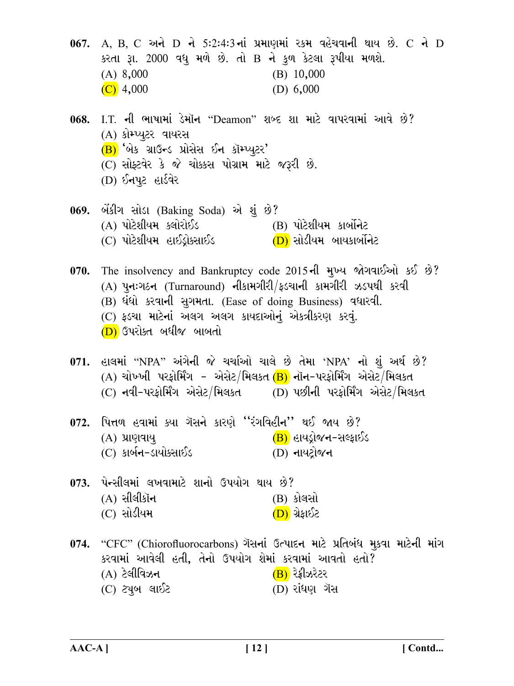067. A, B, C અને D ને 5:2:4:3 નાં પ્રમાણમાં રકમ વહેચવાની થાય છે. C ને D કરતા રૂા. 2000 વધુ મળે છે. તો B ને કુળ કેટલા રૂપીયા મળશે.  $(B)$  10,000  $(A)$  8,000  $(C)$  4,000 (D)  $6,000$ 068. I.T. ની ભાષામાં ડેમૉન "Deamon" શબ્દ શા માટે વાપરવામાં આવે છે? (A) કોમ્પ્યુટર વાયરસ  $(B)$  'બેક ગ્રાઉન્ડ પ્રોસેસ ઈન કૉમ્પ્યુટર'  $(C)$  સોફ્ટવેર કે જે ચોક્કસ પોગ્રામ માટે જરૂરી છે. (D) ઈનપૂટ હાર્ડવેર 069. બેંકીંગ સોડા (Baking Soda) એ શું છે? (B) પોટેશીયમ કાર્બોનેટ (A) પોટેશીયમ ક્લોરોઈડ  $(C)$  પોટેશીયમ હાઈડ્રોક્સાઈડ  $(D)$  સોડીયમ બાયકાર્બોનેટ 070. The insolvency and Bankruptcy code 2015 of મુખ્ય જોગવાઈઓ કઈ છે?  $(A)$  પુનઃગઠન (Turnaround) નીકામગીરી/ફડચાની કામગીરી ઝડપથી કરવી (B) ધંધો કરવાની સુગમતા. (Ease of doing Business) વધારવી. (C) ફડચા માટેનાં અલગ અલગ કાયદાઓનું એકત્રીકરણ કરવું. (D) ઉપરોક્ત બધીજ બાબતો 071. હાલમાં "NPA" અંગેની જે ચર્ચાઓ ચાલે છે તેમા 'NPA' નો શું અર્થ છે? (A) ચોખ્ખી પરકોર્મિંગ - એસેટ/મિલકત $(B)$  નૉન-પરકોર્મિંગ એસેટ/મિલકત (C) નવી-પરફોર્મિંગ એસેટ/મિલકત $\overline{\rm (D)}$  પછીની પરફોર્મિંગ એસેટ/મિલકત 072. પિત્તળ હવામાં ક્યા ગૅસને કારણે "રંગવિહીન'' થઈ જાય છે? (B) હાયડ્રોજન-સલ્ફાઈડ (A) પ્રાણવાય (C) કાર્બ**ન**–ડાયોક્સાઈડ (D) નાયટોજન 073. પેન્સીલમાં લખવામાટે શાનો ઉપયોગ થાય છે?  $(A)$  સીલીકૉન (B) કોલસો (C) સોડીયમ <u>(D)</u> ગ્રેફાઈટ 074. "CFC" (Chiorofluorocarbons) ગૅસનાં ઉત્પાદન માટે પ્રતિબંધ મૂકવા માટેની માંગ કરવામાં આવેલી હતી, તેનો ઉપયોગ શેમાં કરવામાં આવતો હતો?  $(A)$  ટેલીવિઝન  $\overline{(\mathbf{B})}$  રેફ્રીઝરેટર (C) ટ્યુબ લાઈટ  $(D)$  રાંધણ ગૅસ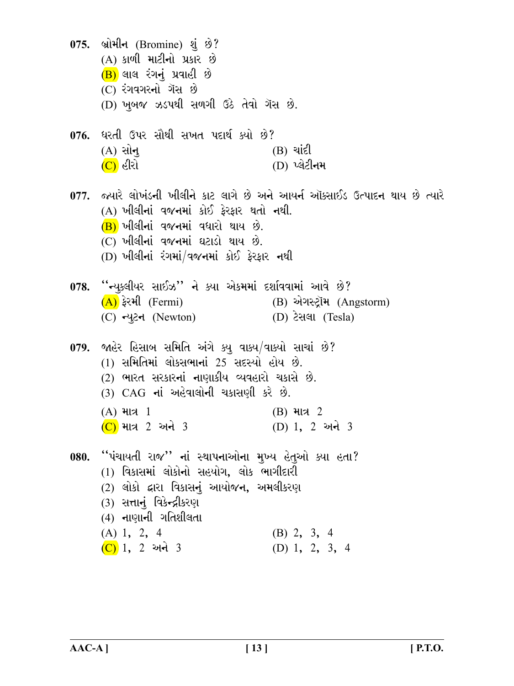075. બ્રોમીન (Bromine) શું છે? (A) કાળી માટીનો પ્રકાર છે  $(B)$  લાલ રંગનું પ્રવાહી છે  $(C)$  રંગવગરનો ગૅસ છે (D) ખૂબજ ઝડપથી સળગી ઉઠે તેવો ગૅસ છે. 076. ધરતી ઉપર સૌથી સખત પદાર્થ ક્યો છે?  $(A)$  સોન્  $(B)$  aid  $(C)$  હીરો (D) પ્લેટીનમ 077. જ્યારે લોખંડની ખીલીને કાટ લાગે છે અને આયર્ન ઑક્સાઈડ ઉત્પાદન થાય છે ત્યારે (A) ખીલીનાં વજનમાં કોઈ કેરકાર થતો નથી.  $(B)$  ખીલીનાં વજનમાં વધારો થાય છે.  $(C)$  ખીલીનાં વજનમાં ઘટાડો થાય છે. (D) ખીલીનાં રંગમાં/વજનમાં કોઈ ફેરફાર નથી 078. ''ન્યક્લીયર સાઈઝ'' ને ક્યા એકમમાં દર્શાવવામાં આવે છે?  $(A)$  ફેરમી (Fermi) (B) એગસ્ટ્રૉમ (Angstorm) (C) न्यूटन (Newton) (D) ટેસલા (Tesla) 079. જાહેર હિસાબ સમિતિ અંગે ક્યુ વાક્ય/વાક્યો સાચાં છે? (1) સમિતિમાં લોકસભાનાં 25 સદસ્યો હોય છે. (2) ભારત સરકારનાં નાણાકીય વ્યવહારો ચકાસે છે. (3) CAG નાં અહેવાલોની ચકાસણી કરે છે.  $(A)$  માત્ર 1  $(B)$  માત્ર 2 (D) 1, 2 અને 3 (C) માત્ર 2 અને 3 080. "પંચાયતી રાજ" નાં સ્થાપનાઓના મુખ્ય હેતુઓ ક્યા હતા? (1) વિકાસમાં લોકોનો સહયોગ. લોક ભાગીદારી (2) લોકો દ્વારા વિકાસનું આયોજન, અમલીકરણ (3) સત્તાનું વિકેન્દ્રીકરણ  $(4)$  નાણાની ગતિશીલતા  $(A) 1, 2, 4$  $(B)$  2, 3, 4  $(C)$  1, 2 અને 3 (D) 1, 2, 3, 4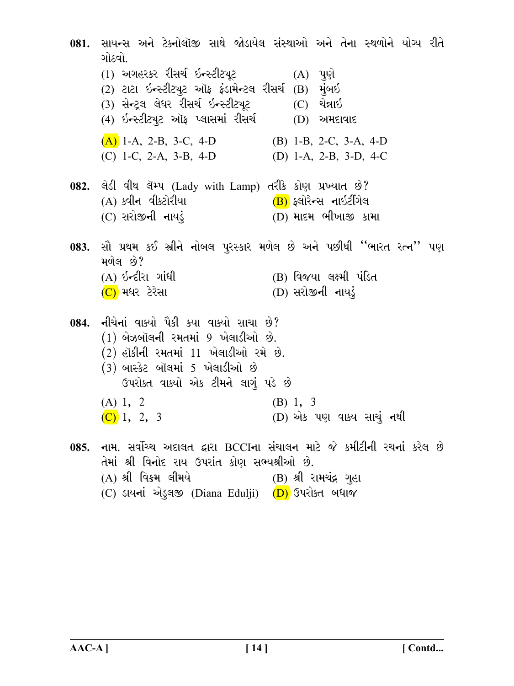081. સાયન્સ અને ટેક્નોલૉજી સાથે જોડાયેલ સંસ્થાઓ અને તેના સ્થળોને યોગ્ય રીતે ગોઠવો. (1) અગહરકર રીસર્ચ ઇન્સ્ટીટ્યૂટ  $(A)$  પૂર્ણ (2) ટાટા ઇન્સ્ટીટ્યૂટ ઑફ ફંડામેન્ટલ રીસર્ચ (B) મુંબઈ (3) સેન્ટલ લેધર રીસર્ચ ઇન્સ્ટીટ્યટ - (C) ચેન્નાઇ (4) ઇન્સ્ટીટ્યૂટ ઑફ પ્લાસમાં રીસર્ચ (D) અમદાવાદ  $(A)$  1-A, 2-B, 3-C, 4-D (B) 1-B, 2-C, 3-A, 4-D  $(C)$  1-C, 2-A, 3-B, 4-D (D) 1-A, 2-B, 3-D, 4-C 082. લેડી વીથ લૅમ્પ (Lady with Lamp) તરીકે કોણ પ્રખ્યાત છે? (<mark>B)</mark> ફ્લોરેન્સ નાઇટીંગેલ (A) ક્વીન વીક્ટોરીયા  $(D)$  માદમ ભીખાજી કામા (C) સરોજીની નાયડં 083. સૌ પ્રથમ કઈ સ્રીને નોબલ પુરસ્કાર મળેલ છે અને પછીથી ''ભારત રત્ન'' પણ મળેલ છે? (B) વિજયા લક્ષ્મી પંડિત (A) ઇન્દીરા ગાંધી (C) મધર ટેરેસા  $(D)$  સરોજીની નાયડું 084. નીચેનાં વાક્યો પૈકી કયા વાક્યો સાચા છે?  $(1)$  બેઝબૉલની રમતમાં 9 ખેલાડીઓ છે.  $(2)$  હૉકીની રમતમાં  $11$  ખેલાડીઓ રમે છે.  $(3)$  બાસ્કેટ બૉલમાં 5 ખેલાડીઓ છે ઉપરોક્ત વાક્યો એક ટીમને લાગું પડે છે  $(A) 1, 2$  $(B) 1, 3$  $(C)$  1, 2, 3 (D) એક પણ વાક્ય સાચું નથી 085. નામ. સર્વોચ્ચ અદાલત દ્વારા BCCIના સંચાલન માટે જે કમીટીની રચનાં કરેલ છે તેમાં શ્રી વિનોદ રાય ઉપરાંત કોણ સભ્યશ્રીઓ છે. (A) શ્રી વિક્રમ લીમયે (B) શ્રી રામચંદ્ર ગહા (C) ડાયનાં એડલજી (Diana Edulji) (D) ઉપરોક્ત બધાજ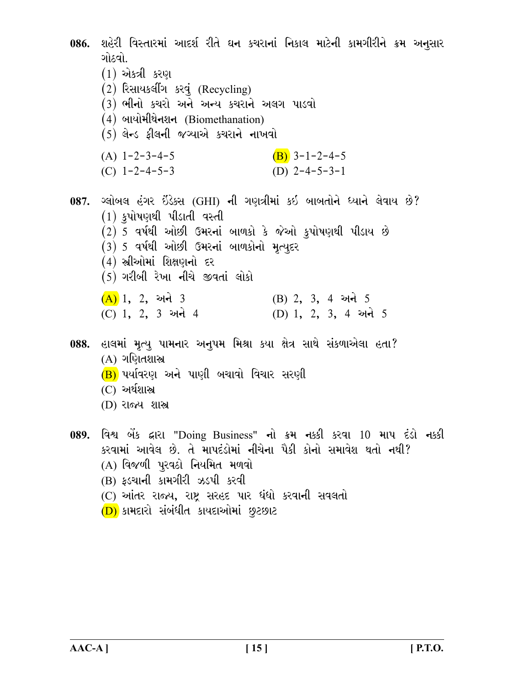086. શહેરી વિસ્તારમાં આદર્શ રીતે ઘન કચરાનાં નિકાલ માટેની કામગીરીને ક્રમ અનુસાર ગોઠવો.. (1) એકત્રી કરણ (2) રિસાયકલીંગ કરવું (Recycling) (3) ભીનો કચરો અને અન્ય કચરાને અલગ પાડવો (4) બાયોમીથેનશન (Biomethanation)  $(5)$  લેન્ડ ફીલની જગ્યાએ કચરાને નાખવો  $(A)$  1-2-3-4-5  $(B)$  3-1-2-4-5 (D)  $2-4-5-3-1$ (C)  $1 - 2 - 4 - 5 - 3$ 087. ગ્લોબલ હંગર ઇંડેક્સ (GHI) ની ગણત્રીમાં કઇ બાબતોને ધ્યાને લેવાય છે?  $(1)$  કુપોષણથી પીડાતી વસ્તી  $(2)$  5 વર્ષથી ઓછી ઉમરનાં બાળકો કે જેઓ કુપોષણથી પીડાય છે  $(3)$  5 વર્ષથી ઓછી ઉમરનાં બાળકોનો મૃત્યુદર (4) સ્રીઓમાં શિક્ષણનો દર  $(5)$  ગરીબી રેખા નીચે જીવતાં લોકો  $(A)$  1, 2, અને 3  $(B)$  2, 3, 4 અને 5 (C) 1, 2, 3 અને 4 (D) 1, 2, 3, 4 અને 5 088. હાલમાં મૃત્યુ પામનાર અનુપમ મિશ્રા કયા ક્ષેત્ર સાથે સંકળાએલા હતા? (A) ગણિતશાસ્ત્ર (B) પર્યાવરણ અને પાણી બચાવો વિચાર સરણી  $(C)$  અર્થશાસ્ત્ર (D) રાજ્ય શાસ્ત્ર 089. વિશ્વ બેંક દ્વારા "Doing Business" નો ક્રમ નક્કી કરવા 10 માપ દંડો નક્કી કરવામાં આવેલ છે. તે માપદંડોમાં નીચેના પૈકી કોનો સમાવેશ થતો નથી? (A) વિજળી પૂરવઠો નિયમિત મળવો (B) ફડચાની કામગીરી ઝડપી કરવી (C) આંતર રાજ્ય, રાષ્ટ્ર સરહદ પાર ધંધો કરવાની સવલતો

(D) કામદારો સંબંધીત કાયદાઓમાં છૂટછાટ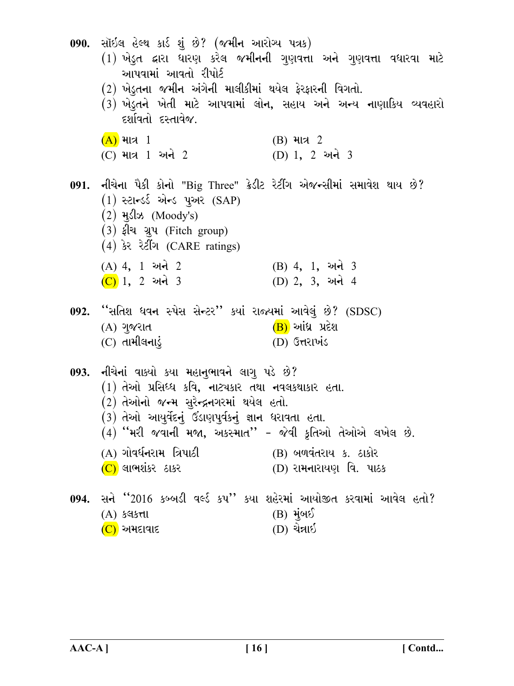090. સૉઇલ હેલ્થ કાર્ડ શું છે? (જમીન આરોગ્ય પત્રક) (1) ખેડૂત દ્વારા ધારણ કરેલ જમીનની ગુણવત્તા અને ગુણવત્તા વધારવા માટે આપવામાં આવતો રીપોર્ટ (2) ખેડૂતના જમીન અંગેની માલીકીમાં થયેલ ફેરફારની વિગતો. (3) ખેડુતને ખેતી માટે આપવામાં લોન, સહાય અને અન્ય નાણાકિય વ્યવહારો દર્શાવતો દસ્તાવેજ.  $(A)$  માત્ર 1  $(B)$  માત્ર 2 (C) માત્ર 1 અને 2 (D) 1, 2 અને 3 091. નીચેના પૈકી કોનો "Big Three" ક્રેડીટ રેટીંગ એજન્સીમાં સમાવેશ થાય છે?  $(1)$  સ્ટાન્ડર્ડ એન્ડ પઅર  $(SAP)$  $(2)$  મુડીઝ (Moody's) (3) ફીચ ગ્રુપ (Fitch group)  $(4)$  કેર રેટીંગ (CARE ratings) (B) 4, 1, અને 3  $(A)$  4, 1 અને 2  $(C)$  1, 2 અને 3 (D) 2, 3, અને 4 092. "સતિશ ધવન સ્પેસ સેન્ટર" કયાં રાજ્યમાં આવેલું છે? (SDSC) (B) આંધ્ર પ્રદેશ (A) ગુજરાત  $(C)$  તામીલનાડું D) ઉત્તરાખંડ 093. નીચેનાં વાક્યો કયા મહાનુભાવને લાગુ પડે છે?  $(1)$  તેઓ પ્રસિધ્ધ કવિ, નાટ્યકાર તથા નવલકથાકાર હતા.  $(2)$  તેઓનો જન્મ સુરેન્દ્રનગરમાં થયેલ હતો.  $(3)$  તેઓ આયુર્વેદનું ઉડાણપુર્વકનું જ્ઞાન ધરાવતા હતા.  $(4)$  "મરી જવાની મજા, અકસ્માત" - જેવી કૃતિઓ તેઓએ લખેલ છે. (A) ગોવર્ધનરામ ત્રિપાઠી (B) બળવંતરાય ક. ઠાકોર (C) લાભશંકર ઠાકર (D) રામનારાયણ વિ. પાઠક 094. સને ''2016 કબ્બડી વર્લ્ડ કપ'' કયા શહેરમાં આયોજીત કરવામાં આવેલ હતો?  $(B)$  મુંબઈ  $(A)$  કલકત્તા (D) ચેન્નાઈ (C) અમદાવાદ